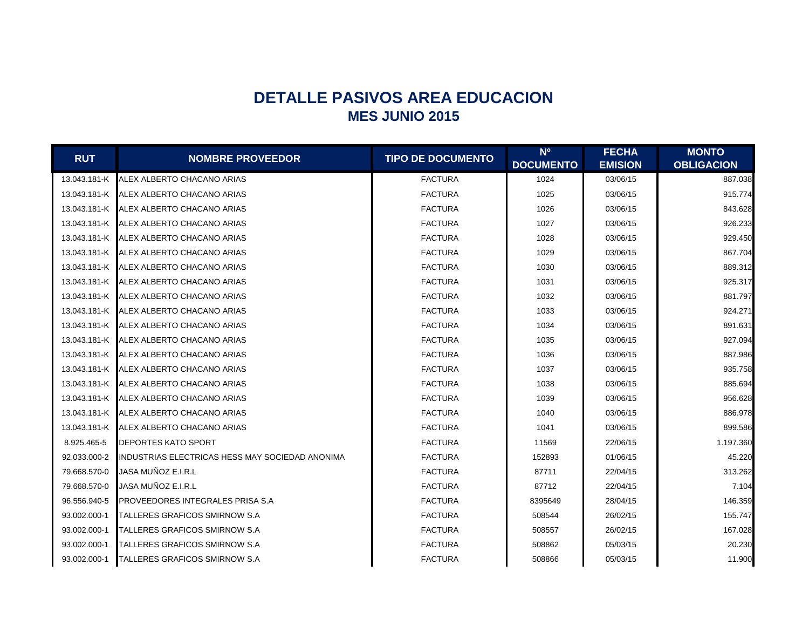## **DETALLE PASIVOS AREA EDUCACION MES JUNIO 2015**

| <b>RUT</b>   | <b>NOMBRE PROVEEDOR</b>                         | <b>TIPO DE DOCUMENTO</b> | N <sup>o</sup>   | <b>FECHA</b>   | <b>MONTO</b>      |
|--------------|-------------------------------------------------|--------------------------|------------------|----------------|-------------------|
|              |                                                 |                          | <b>DOCUMENTO</b> | <b>EMISION</b> | <b>OBLIGACION</b> |
| 13.043.181-K | ALEX ALBERTO CHACANO ARIAS                      | <b>FACTURA</b>           | 1024             | 03/06/15       | 887.038           |
|              | 13.043.181-K ALEX ALBERTO CHACANO ARIAS         | <b>FACTURA</b>           | 1025             | 03/06/15       | 915.774           |
| 13.043.181-K | ALEX ALBERTO CHACANO ARIAS                      | <b>FACTURA</b>           | 1026             | 03/06/15       | 843.628           |
| 13.043.181-K | ALEX ALBERTO CHACANO ARIAS                      | <b>FACTURA</b>           | 1027             | 03/06/15       | 926.233           |
|              | 13.043.181-K ALEX ALBERTO CHACANO ARIAS         | <b>FACTURA</b>           | 1028             | 03/06/15       | 929.450           |
|              | 13.043.181-K ALEX ALBERTO CHACANO ARIAS         | <b>FACTURA</b>           | 1029             | 03/06/15       | 867.704           |
|              | 13.043.181-K ALEX ALBERTO CHACANO ARIAS         | <b>FACTURA</b>           | 1030             | 03/06/15       | 889.312           |
| 13.043.181-K | ALEX ALBERTO CHACANO ARIAS                      | <b>FACTURA</b>           | 1031             | 03/06/15       | 925.317           |
| 13.043.181-K | ALEX ALBERTO CHACANO ARIAS                      | <b>FACTURA</b>           | 1032             | 03/06/15       | 881.797           |
| 13.043.181-K | ALEX ALBERTO CHACANO ARIAS                      | <b>FACTURA</b>           | 1033             | 03/06/15       | 924.271           |
|              | 13.043.181-K ALEX ALBERTO CHACANO ARIAS         | <b>FACTURA</b>           | 1034             | 03/06/15       | 891.631           |
|              | 13.043.181-K ALEX ALBERTO CHACANO ARIAS         | <b>FACTURA</b>           | 1035             | 03/06/15       | 927.094           |
| 13.043.181-K | ALEX ALBERTO CHACANO ARIAS                      | <b>FACTURA</b>           | 1036             | 03/06/15       | 887.986           |
| 13.043.181-K | ALEX ALBERTO CHACANO ARIAS                      | <b>FACTURA</b>           | 1037             | 03/06/15       | 935.758           |
|              | 13.043.181-K ALEX ALBERTO CHACANO ARIAS         | <b>FACTURA</b>           | 1038             | 03/06/15       | 885.694           |
|              | 13.043.181-K ALEX ALBERTO CHACANO ARIAS         | <b>FACTURA</b>           | 1039             | 03/06/15       | 956.628           |
|              | 13.043.181-K ALEX ALBERTO CHACANO ARIAS         | <b>FACTURA</b>           | 1040             | 03/06/15       | 886.978           |
| 13.043.181-K | ALEX ALBERTO CHACANO ARIAS                      | <b>FACTURA</b>           | 1041             | 03/06/15       | 899.586           |
| 8.925.465-5  | DEPORTES KATO SPORT                             | <b>FACTURA</b>           | 11569            | 22/06/15       | 1.197.360         |
| 92.033.000-2 | INDUSTRIAS ELECTRICAS HESS MAY SOCIEDAD ANONIMA | <b>FACTURA</b>           | 152893           | 01/06/15       | 45.220            |
| 79.668.570-0 | JASA MUÑOZ E.I.R.L                              | <b>FACTURA</b>           | 87711            | 22/04/15       | 313.262           |
| 79.668.570-0 | JASA MUÑOZ E.I.R.L                              | <b>FACTURA</b>           | 87712            | 22/04/15       | 7.104             |
| 96.556.940-5 | PROVEEDORES INTEGRALES PRISA S.A                | <b>FACTURA</b>           | 8395649          | 28/04/15       | 146.359           |
| 93.002.000-1 | TALLERES GRAFICOS SMIRNOW S.A                   | <b>FACTURA</b>           | 508544           | 26/02/15       | 155.747           |
| 93.002.000-1 | TALLERES GRAFICOS SMIRNOW S.A                   | <b>FACTURA</b>           | 508557           | 26/02/15       | 167.028           |
| 93.002.000-1 | TALLERES GRAFICOS SMIRNOW S.A                   | <b>FACTURA</b>           | 508862           | 05/03/15       | 20.230            |
| 93.002.000-1 | <b>TALLERES GRAFICOS SMIRNOW S.A</b>            | <b>FACTURA</b>           | 508866           | 05/03/15       | 11.900            |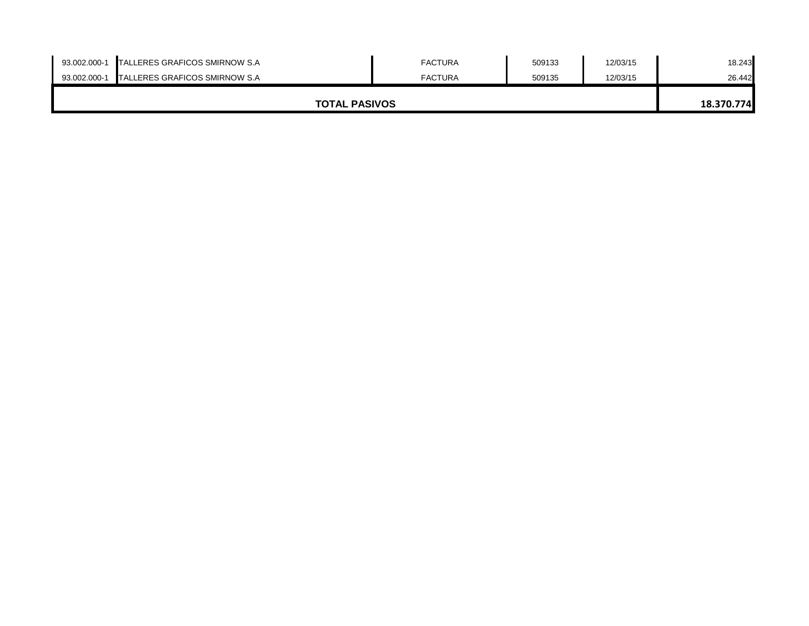| 93.002.000-1         | <b>TALLERES GRAFICOS SMIRNOW S.A</b> | <b>FACTURA</b> | 509133 | 12/03/15 | 18.243     |
|----------------------|--------------------------------------|----------------|--------|----------|------------|
| 93.002.000-1         | <b>TALLERES GRAFICOS SMIRNOW S.A</b> | <b>FACTURA</b> | 509135 | 12/03/15 | 26.442     |
|                      |                                      |                |        |          |            |
| <b>TOTAL PASIVOS</b> |                                      |                |        |          | 18.370.774 |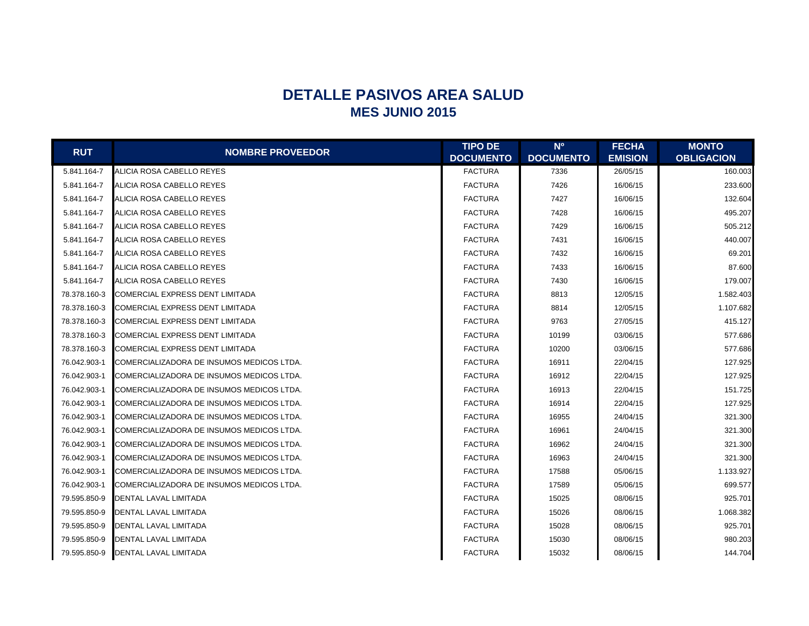## **DETALLE PASIVOS AREA SALUD MES JUNIO 2015**

|              |                                           | <b>TIPO DE</b>   | <b>No</b>        | <b>FECHA</b>   | <b>MONTO</b>      |
|--------------|-------------------------------------------|------------------|------------------|----------------|-------------------|
| <b>RUT</b>   | <b>NOMBRE PROVEEDOR</b>                   | <b>DOCUMENTO</b> | <b>DOCUMENTO</b> | <b>EMISION</b> | <b>OBLIGACION</b> |
| 5.841.164-7  | ALICIA ROSA CABELLO REYES                 | <b>FACTURA</b>   | 7336             | 26/05/15       | 160.003           |
| 5.841.164-7  | ALICIA ROSA CABELLO REYES                 | <b>FACTURA</b>   | 7426             | 16/06/15       | 233.600           |
| 5.841.164-7  | ALICIA ROSA CABELLO REYES                 | <b>FACTURA</b>   | 7427             | 16/06/15       | 132.604           |
| 5.841.164-7  | ALICIA ROSA CABELLO REYES                 | <b>FACTURA</b>   | 7428             | 16/06/15       | 495.207           |
| 5.841.164-7  | ALICIA ROSA CABELLO REYES                 | <b>FACTURA</b>   | 7429             | 16/06/15       | 505.212           |
| 5.841.164-7  | ALICIA ROSA CABELLO REYES                 | <b>FACTURA</b>   | 7431             | 16/06/15       | 440.007           |
| 5.841.164-7  | ALICIA ROSA CABELLO REYES                 | <b>FACTURA</b>   | 7432             | 16/06/15       | 69.201            |
| 5.841.164-7  | ALICIA ROSA CABELLO REYES                 | <b>FACTURA</b>   | 7433             | 16/06/15       | 87.600            |
| 5.841.164-7  | ALICIA ROSA CABELLO REYES                 | <b>FACTURA</b>   | 7430             | 16/06/15       | 179.007           |
| 78.378.160-3 | COMERCIAL EXPRESS DENT LIMITADA           | <b>FACTURA</b>   | 8813             | 12/05/15       | 1.582.403         |
| 78.378.160-3 | COMERCIAL EXPRESS DENT LIMITADA           | <b>FACTURA</b>   | 8814             | 12/05/15       | 1.107.682         |
| 78.378.160-3 | COMERCIAL EXPRESS DENT LIMITADA           | <b>FACTURA</b>   | 9763             | 27/05/15       | 415.127           |
| 78.378.160-3 | COMERCIAL EXPRESS DENT LIMITADA           | <b>FACTURA</b>   | 10199            | 03/06/15       | 577.686           |
| 78.378.160-3 | COMERCIAL EXPRESS DENT LIMITADA           | <b>FACTURA</b>   | 10200            | 03/06/15       | 577.686           |
| 76.042.903-1 | COMERCIALIZADORA DE INSUMOS MEDICOS LTDA. | <b>FACTURA</b>   | 16911            | 22/04/15       | 127.925           |
| 76.042.903-1 | COMERCIALIZADORA DE INSUMOS MEDICOS LTDA. | <b>FACTURA</b>   | 16912            | 22/04/15       | 127.925           |
| 76.042.903-1 | COMERCIALIZADORA DE INSUMOS MEDICOS LTDA. | <b>FACTURA</b>   | 16913            | 22/04/15       | 151.725           |
| 76.042.903-1 | COMERCIALIZADORA DE INSUMOS MEDICOS LTDA. | <b>FACTURA</b>   | 16914            | 22/04/15       | 127.925           |
| 76.042.903-1 | COMERCIALIZADORA DE INSUMOS MEDICOS LTDA. | <b>FACTURA</b>   | 16955            | 24/04/15       | 321.300           |
| 76.042.903-1 | COMERCIALIZADORA DE INSUMOS MEDICOS LTDA. | <b>FACTURA</b>   | 16961            | 24/04/15       | 321.300           |
| 76.042.903-1 | COMERCIALIZADORA DE INSUMOS MEDICOS LTDA. | <b>FACTURA</b>   | 16962            | 24/04/15       | 321.300           |
| 76.042.903-1 | COMERCIALIZADORA DE INSUMOS MEDICOS LTDA. | <b>FACTURA</b>   | 16963            | 24/04/15       | 321.300           |
| 76.042.903-1 | COMERCIALIZADORA DE INSUMOS MEDICOS LTDA. | <b>FACTURA</b>   | 17588            | 05/06/15       | 1.133.927         |
| 76.042.903-1 | COMERCIALIZADORA DE INSUMOS MEDICOS LTDA. | <b>FACTURA</b>   | 17589            | 05/06/15       | 699.577           |
| 79.595.850-9 | DENTAL LAVAL LIMITADA                     | <b>FACTURA</b>   | 15025            | 08/06/15       | 925.701           |
| 79.595.850-9 | DENTAL LAVAL LIMITADA                     | <b>FACTURA</b>   | 15026            | 08/06/15       | 1.068.382         |
| 79.595.850-9 | DENTAL LAVAL LIMITADA                     | <b>FACTURA</b>   | 15028            | 08/06/15       | 925.701           |
| 79.595.850-9 | DENTAL LAVAL LIMITADA                     | <b>FACTURA</b>   | 15030            | 08/06/15       | 980.203           |
| 79.595.850-9 | <b>DENTAL LAVAL LIMITADA</b>              | <b>FACTURA</b>   | 15032            | 08/06/15       | 144.704           |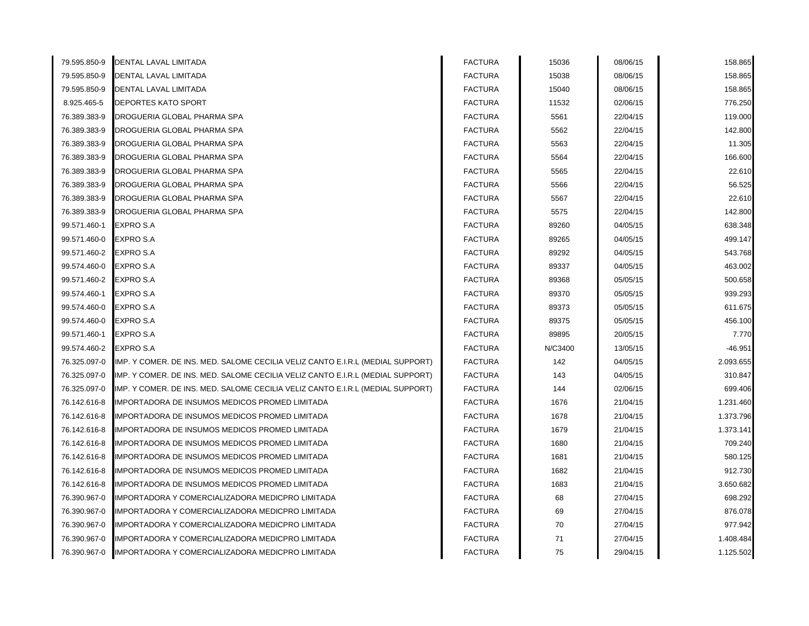| 79.595.850-9 | DENTAL LAVAL LIMITADA                                                          | <b>FACTURA</b> | 15036   | 08/06/15 | 158.865   |
|--------------|--------------------------------------------------------------------------------|----------------|---------|----------|-----------|
| 79.595.850-9 | DENTAL LAVAL LIMITADA                                                          | <b>FACTURA</b> | 15038   | 08/06/15 | 158.865   |
| 79.595.850-9 | DENTAL LAVAL LIMITADA                                                          | <b>FACTURA</b> | 15040   | 08/06/15 | 158.865   |
| 8.925.465-5  | DEPORTES KATO SPORT                                                            | <b>FACTURA</b> | 11532   | 02/06/15 | 776.250   |
| 76.389.383-9 | DROGUERIA GLOBAL PHARMA SPA                                                    | <b>FACTURA</b> | 5561    | 22/04/15 | 119.000   |
| 76.389.383-9 | DROGUERIA GLOBAL PHARMA SPA                                                    | <b>FACTURA</b> | 5562    | 22/04/15 | 142.800   |
| 76.389.383-9 | DROGUERIA GLOBAL PHARMA SPA                                                    | <b>FACTURA</b> | 5563    | 22/04/15 | 11.305    |
| 76.389.383-9 | DROGUERIA GLOBAL PHARMA SPA                                                    | <b>FACTURA</b> | 5564    | 22/04/15 | 166.600   |
| 76.389.383-9 | DROGUERIA GLOBAL PHARMA SPA                                                    | <b>FACTURA</b> | 5565    | 22/04/15 | 22.610    |
| 76.389.383-9 | DROGUERIA GLOBAL PHARMA SPA                                                    | <b>FACTURA</b> | 5566    | 22/04/15 | 56.525    |
| 76.389.383-9 | DROGUERIA GLOBAL PHARMA SPA                                                    | <b>FACTURA</b> | 5567    | 22/04/15 | 22.610    |
| 76.389.383-9 | DROGUERIA GLOBAL PHARMA SPA                                                    | <b>FACTURA</b> | 5575    | 22/04/15 | 142.800   |
| 99.571.460-1 | <b>EXPRO S.A</b>                                                               | <b>FACTURA</b> | 89260   | 04/05/15 | 638.348   |
| 99.571.460-0 | <b>EXPRO S.A</b>                                                               | <b>FACTURA</b> | 89265   | 04/05/15 | 499.147   |
| 99.571.460-2 | EXPRO S.A                                                                      | <b>FACTURA</b> | 89292   | 04/05/15 | 543.768   |
| 99.574.460-0 | EXPRO S.A                                                                      | <b>FACTURA</b> | 89337   | 04/05/15 | 463.002   |
| 99.571.460-2 | EXPRO S.A                                                                      | <b>FACTURA</b> | 89368   | 05/05/15 | 500.658   |
| 99.574.460-1 | <b>EXPRO S.A</b>                                                               | <b>FACTURA</b> | 89370   | 05/05/15 | 939.293   |
| 99.574.460-0 | <b>EXPRO S.A</b>                                                               | <b>FACTURA</b> | 89373   | 05/05/15 | 611.675   |
| 99.574.460-0 | EXPRO S.A                                                                      | <b>FACTURA</b> | 89375   | 05/05/15 | 456.100   |
| 99.571.460-1 | <b>EXPRO S.A</b>                                                               | <b>FACTURA</b> | 89895   | 20/05/15 | 7.770     |
| 99.574.460-2 | <b>EXPRO S.A</b>                                                               | <b>FACTURA</b> | N/C3400 | 13/05/15 | $-46.951$ |
| 76.325.097-0 | IMP. Y COMER. DE INS. MED. SALOME CECILIA VELIZ CANTO E.I.R.L (MEDIAL SUPPORT) | <b>FACTURA</b> | 142     | 04/05/15 | 2.093.655 |
| 76.325.097-0 | IMP. Y COMER. DE INS. MED. SALOME CECILIA VELIZ CANTO E.I.R.L (MEDIAL SUPPORT) | <b>FACTURA</b> | 143     | 04/05/15 | 310.847   |
| 76.325.097-0 | IMP. Y COMER. DE INS. MED. SALOME CECILIA VELIZ CANTO E.I.R.L (MEDIAL SUPPORT) | <b>FACTURA</b> | 144     | 02/06/15 | 699.406   |
| 76.142.616-8 | MPORTADORA DE INSUMOS MEDICOS PROMED LIMITADA                                  | <b>FACTURA</b> | 1676    | 21/04/15 | 1.231.460 |
| 76.142.616-8 | MPORTADORA DE INSUMOS MEDICOS PROMED LIMITADA                                  | <b>FACTURA</b> | 1678    | 21/04/15 | 1.373.796 |
| 76.142.616-8 | MPORTADORA DE INSUMOS MEDICOS PROMED LIMITADA                                  | <b>FACTURA</b> | 1679    | 21/04/15 | 1.373.141 |
| 76.142.616-8 | MPORTADORA DE INSUMOS MEDICOS PROMED LIMITADA                                  | <b>FACTURA</b> | 1680    | 21/04/15 | 709.240   |
| 76.142.616-8 | IMPORTADORA DE INSUMOS MEDICOS PROMED LIMITADA                                 | <b>FACTURA</b> | 1681    | 21/04/15 | 580.125   |
| 76.142.616-8 | IMPORTADORA DE INSUMOS MEDICOS PROMED LIMITADA                                 | <b>FACTURA</b> | 1682    | 21/04/15 | 912.730   |
| 76.142.616-8 | IMPORTADORA DE INSUMOS MEDICOS PROMED LIMITADA                                 | <b>FACTURA</b> | 1683    | 21/04/15 | 3.650.682 |
| 76.390.967-0 | IMPORTADORA Y COMERCIALIZADORA MEDICPRO LIMITADA                               | <b>FACTURA</b> | 68      | 27/04/15 | 698.292   |
| 76.390.967-0 | IMPORTADORA Y COMERCIALIZADORA MEDICPRO LIMITADA                               | <b>FACTURA</b> | 69      | 27/04/15 | 876.078   |
| 76.390.967-0 | IMPORTADORA Y COMERCIALIZADORA MEDICPRO LIMITADA                               | <b>FACTURA</b> | 70      | 27/04/15 | 977.942   |
| 76.390.967-0 | IMPORTADORA Y COMERCIALIZADORA MEDICPRO LIMITADA                               | <b>FACTURA</b> | 71      | 27/04/15 | 1.408.484 |
| 76.390.967-0 | IMPORTADORA Y COMERCIALIZADORA MEDICPRO LIMITADA                               | <b>FACTURA</b> | 75      | 29/04/15 | 1.125.502 |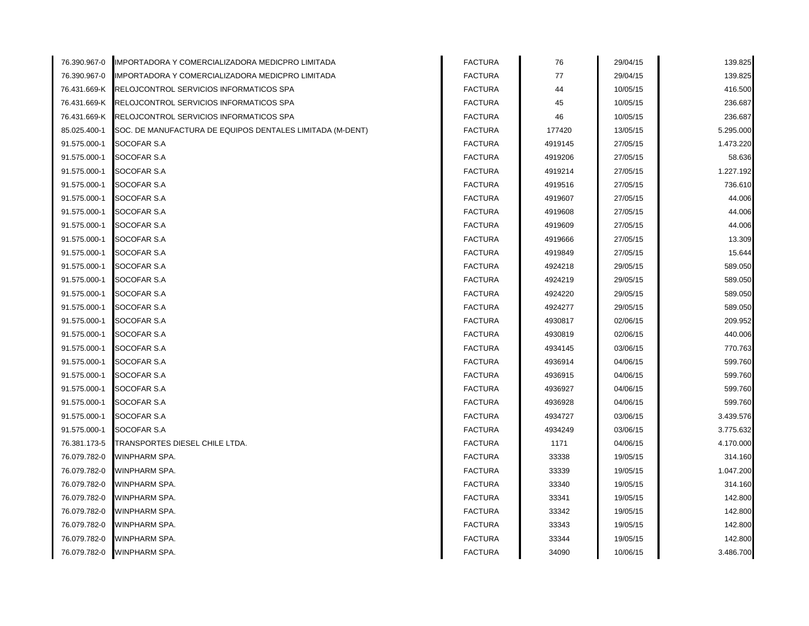| 76.390.967-0 | IMPORTADORA Y COMERCIALIZADORA MEDICPRO LIMITADA          | <b>FACTURA</b> | 76      | 29/04/15 | 139.825   |
|--------------|-----------------------------------------------------------|----------------|---------|----------|-----------|
| 76.390.967-0 | IMPORTADORA Y COMERCIALIZADORA MEDICPRO LIMITADA          | <b>FACTURA</b> | 77      | 29/04/15 | 139.825   |
| 76.431.669-K | RELOJCONTROL SERVICIOS INFORMATICOS SPA                   | <b>FACTURA</b> | 44      | 10/05/15 | 416.500   |
| 76.431.669-K | RELOJCONTROL SERVICIOS INFORMATICOS SPA                   | <b>FACTURA</b> | 45      | 10/05/15 | 236.687   |
| 76.431.669-K | RELOJCONTROL SERVICIOS INFORMATICOS SPA                   | <b>FACTURA</b> | 46      | 10/05/15 | 236.687   |
| 85.025.400-1 | SOC. DE MANUFACTURA DE EQUIPOS DENTALES LIMITADA (M-DENT) | <b>FACTURA</b> | 177420  | 13/05/15 | 5.295.000 |
| 91.575.000-1 | SOCOFAR S.A                                               | <b>FACTURA</b> | 4919145 | 27/05/15 | 1.473.220 |
| 91.575.000-1 | SOCOFAR S.A                                               | <b>FACTURA</b> | 4919206 | 27/05/15 | 58.636    |
| 91.575.000-1 | SOCOFAR S.A                                               | <b>FACTURA</b> | 4919214 | 27/05/15 | 1.227.192 |
| 91.575.000-1 | SOCOFAR S.A                                               | <b>FACTURA</b> | 4919516 | 27/05/15 | 736.610   |
| 91.575.000-1 | SOCOFAR S.A                                               | <b>FACTURA</b> | 4919607 | 27/05/15 | 44.006    |
| 91.575.000-1 | SOCOFAR S.A                                               | <b>FACTURA</b> | 4919608 | 27/05/15 | 44.006    |
| 91.575.000-1 | SOCOFAR S.A                                               | <b>FACTURA</b> | 4919609 | 27/05/15 | 44.006    |
| 91.575.000-1 | SOCOFAR S.A                                               | <b>FACTURA</b> | 4919666 | 27/05/15 | 13.309    |
| 91.575.000-1 | SOCOFAR S.A                                               | <b>FACTURA</b> | 4919849 | 27/05/15 | 15.644    |
| 91.575.000-1 | SOCOFAR S.A                                               | <b>FACTURA</b> | 4924218 | 29/05/15 | 589.050   |
| 91.575.000-1 | SOCOFAR S.A                                               | <b>FACTURA</b> | 4924219 | 29/05/15 | 589.050   |
| 91.575.000-1 | SOCOFAR S.A                                               | <b>FACTURA</b> | 4924220 | 29/05/15 | 589.050   |
| 91.575.000-1 | SOCOFAR S.A                                               | <b>FACTURA</b> | 4924277 | 29/05/15 | 589.050   |
| 91.575.000-1 | SOCOFAR S.A                                               | <b>FACTURA</b> | 4930817 | 02/06/15 | 209.952   |
| 91.575.000-1 | SOCOFAR S.A                                               | <b>FACTURA</b> | 4930819 | 02/06/15 | 440.006   |
| 91.575.000-1 | SOCOFAR S.A                                               | <b>FACTURA</b> | 4934145 | 03/06/15 | 770.763   |
| 91.575.000-1 | SOCOFAR S.A                                               | <b>FACTURA</b> | 4936914 | 04/06/15 | 599.760   |
| 91.575.000-1 | SOCOFAR S.A                                               | <b>FACTURA</b> | 4936915 | 04/06/15 | 599.760   |
| 91.575.000-1 | SOCOFAR S.A                                               | <b>FACTURA</b> | 4936927 | 04/06/15 | 599.760   |
| 91.575.000-1 | SOCOFAR S.A                                               | <b>FACTURA</b> | 4936928 | 04/06/15 | 599.760   |
| 91.575.000-1 | SOCOFAR S.A                                               | <b>FACTURA</b> | 4934727 | 03/06/15 | 3.439.576 |
| 91.575.000-1 | SOCOFAR S.A                                               | <b>FACTURA</b> | 4934249 | 03/06/15 | 3.775.632 |
| 76.381.173-5 | TRANSPORTES DIESEL CHILE LTDA.                            | <b>FACTURA</b> | 1171    | 04/06/15 | 4.170.000 |
| 76.079.782-0 | WINPHARM SPA.                                             | <b>FACTURA</b> | 33338   | 19/05/15 | 314.160   |
| 76.079.782-0 | WINPHARM SPA.                                             | <b>FACTURA</b> | 33339   | 19/05/15 | 1.047.200 |
| 76.079.782-0 | WINPHARM SPA.                                             | <b>FACTURA</b> | 33340   | 19/05/15 | 314.160   |
| 76.079.782-0 | WINPHARM SPA.                                             | <b>FACTURA</b> | 33341   | 19/05/15 | 142.800   |
| 76.079.782-0 | WINPHARM SPA.                                             | <b>FACTURA</b> | 33342   | 19/05/15 | 142.800   |
| 76.079.782-0 | WINPHARM SPA.                                             | <b>FACTURA</b> | 33343   | 19/05/15 | 142.800   |
| 76.079.782-0 | WINPHARM SPA.                                             | <b>FACTURA</b> | 33344   | 19/05/15 | 142.800   |
| 76.079.782-0 | WINPHARM SPA.                                             | <b>FACTURA</b> | 34090   | 10/06/15 | 3.486.700 |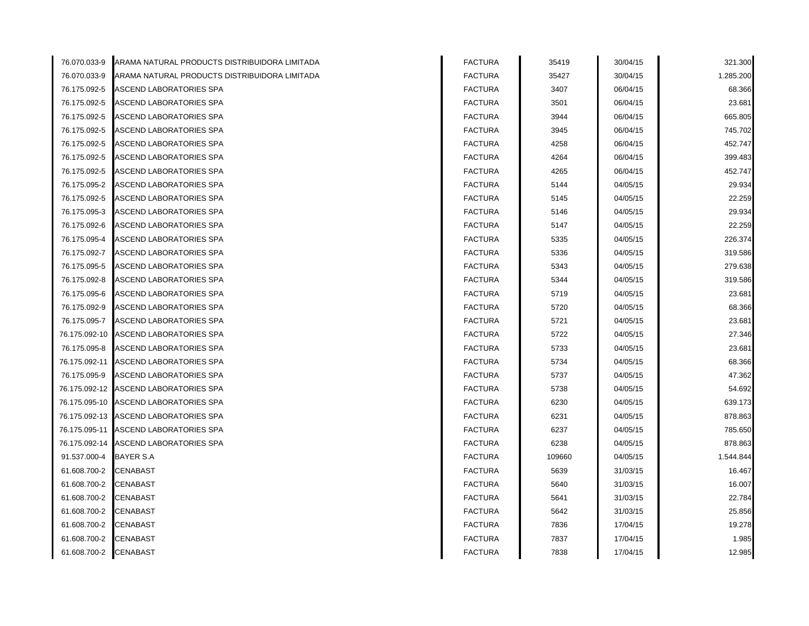| 76.070.033-9  | ARAMA NATURAL PRODUCTS DISTRIBUIDORA LIMITADA | <b>FACTURA</b> | 35419  | 30/04/15 | 321.300   |
|---------------|-----------------------------------------------|----------------|--------|----------|-----------|
| 76.070.033-9  | ARAMA NATURAL PRODUCTS DISTRIBUIDORA LIMITADA | <b>FACTURA</b> | 35427  | 30/04/15 | 1.285.200 |
| 76.175.092-5  | ASCEND LABORATORIES SPA                       | <b>FACTURA</b> | 3407   | 06/04/15 | 68.366    |
| 76.175.092-5  | ASCEND LABORATORIES SPA                       | <b>FACTURA</b> | 3501   | 06/04/15 | 23.681    |
| 76.175.092-5  | ASCEND LABORATORIES SPA                       | <b>FACTURA</b> | 3944   | 06/04/15 | 665.805   |
| 76.175.092-5  | ASCEND LABORATORIES SPA                       | <b>FACTURA</b> | 3945   | 06/04/15 | 745.702   |
| 76.175.092-5  | ASCEND LABORATORIES SPA                       | <b>FACTURA</b> | 4258   | 06/04/15 | 452.747   |
| 76.175.092-5  | ASCEND LABORATORIES SPA                       | <b>FACTURA</b> | 4264   | 06/04/15 | 399.483   |
| 76.175.092-5  | ASCEND LABORATORIES SPA                       | <b>FACTURA</b> | 4265   | 06/04/15 | 452.747   |
| 76.175.095-2  | ASCEND LABORATORIES SPA                       | <b>FACTURA</b> | 5144   | 04/05/15 | 29.934    |
| 76.175.092-5  | ASCEND LABORATORIES SPA                       | <b>FACTURA</b> | 5145   | 04/05/15 | 22.259    |
| 76.175.095-3  | ASCEND LABORATORIES SPA                       | <b>FACTURA</b> | 5146   | 04/05/15 | 29.934    |
| 76.175.092-6  | ASCEND LABORATORIES SPA                       | <b>FACTURA</b> | 5147   | 04/05/15 | 22.259    |
| 76.175.095-4  | ASCEND LABORATORIES SPA                       | <b>FACTURA</b> | 5335   | 04/05/15 | 226.374   |
| 76.175.092-7  | ASCEND LABORATORIES SPA                       | <b>FACTURA</b> | 5336   | 04/05/15 | 319.586   |
| 76.175.095-5  | ASCEND LABORATORIES SPA                       | <b>FACTURA</b> | 5343   | 04/05/15 | 279.638   |
| 76.175.092-8  | ASCEND LABORATORIES SPA                       | <b>FACTURA</b> | 5344   | 04/05/15 | 319.586   |
| 76.175.095-6  | ASCEND LABORATORIES SPA                       | <b>FACTURA</b> | 5719   | 04/05/15 | 23.681    |
| 76.175.092-9  | ASCEND LABORATORIES SPA                       | <b>FACTURA</b> | 5720   | 04/05/15 | 68.366    |
| 76.175.095-7  | ASCEND LABORATORIES SPA                       | <b>FACTURA</b> | 5721   | 04/05/15 | 23.681    |
| 76.175.092-10 | ASCEND LABORATORIES SPA                       | <b>FACTURA</b> | 5722   | 04/05/15 | 27.346    |
| 76.175.095-8  | <b>ASCEND LABORATORIES SPA</b>                | <b>FACTURA</b> | 5733   | 04/05/15 | 23.681    |
| 76.175.092-11 | ASCEND LABORATORIES SPA                       | <b>FACTURA</b> | 5734   | 04/05/15 | 68.366    |
| 76.175.095-9  | ASCEND LABORATORIES SPA                       | <b>FACTURA</b> | 5737   | 04/05/15 | 47.362    |
| 76.175.092-12 | ASCEND LABORATORIES SPA                       | <b>FACTURA</b> | 5738   | 04/05/15 | 54.692    |
| 76.175.095-10 | ASCEND LABORATORIES SPA                       | <b>FACTURA</b> | 6230   | 04/05/15 | 639.173   |
| 76.175.092-13 | ASCEND LABORATORIES SPA                       | <b>FACTURA</b> | 6231   | 04/05/15 | 878.863   |
|               | 76.175.095-11 ASCEND LABORATORIES SPA         | <b>FACTURA</b> | 6237   | 04/05/15 | 785.650   |
|               | 76.175.092-14 ASCEND LABORATORIES SPA         | <b>FACTURA</b> | 6238   | 04/05/15 | 878.863   |
| 91.537.000-4  | <b>BAYER S.A</b>                              | <b>FACTURA</b> | 109660 | 04/05/15 | 1.544.844 |
| 61.608.700-2  | <b>CENABAST</b>                               | <b>FACTURA</b> | 5639   | 31/03/15 | 16.467    |
| 61.608.700-2  | CENABAST                                      | <b>FACTURA</b> | 5640   | 31/03/15 | 16.007    |
| 61.608.700-2  | CENABAST                                      | <b>FACTURA</b> | 5641   | 31/03/15 | 22.784    |
| 61.608.700-2  | <b>CENABAST</b>                               | <b>FACTURA</b> | 5642   | 31/03/15 | 25.856    |
| 61.608.700-2  | CENABAST                                      | <b>FACTURA</b> | 7836   | 17/04/15 | 19.278    |
| 61.608.700-2  | <b>CENABAST</b>                               | <b>FACTURA</b> | 7837   | 17/04/15 | 1.985     |
| 61.608.700-2  | <b>CENABAST</b>                               | <b>FACTURA</b> | 7838   | 17/04/15 | 12.985    |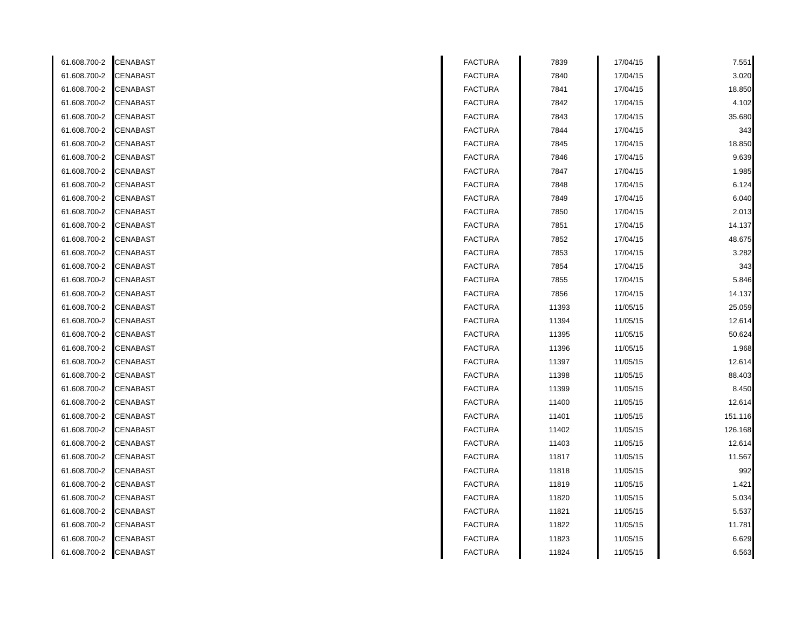| 61.608.700-2 | CENABAST | <b>FACTURA</b> | 7839  | 17/04/15 | 7.551   |
|--------------|----------|----------------|-------|----------|---------|
| 61.608.700-2 | CENABAST | <b>FACTURA</b> | 7840  | 17/04/15 | 3.020   |
| 61.608.700-2 | CENABAST | <b>FACTURA</b> | 7841  | 17/04/15 | 18.850  |
| 61.608.700-2 | CENABAST | <b>FACTURA</b> | 7842  | 17/04/15 | 4.102   |
| 61.608.700-2 | CENABAST | <b>FACTURA</b> | 7843  | 17/04/15 | 35.680  |
| 61.608.700-2 | CENABAST | <b>FACTURA</b> | 7844  | 17/04/15 | 343     |
| 61.608.700-2 | CENABAST | <b>FACTURA</b> | 7845  | 17/04/15 | 18.850  |
| 61.608.700-2 | CENABAST | <b>FACTURA</b> | 7846  | 17/04/15 | 9.639   |
| 61.608.700-2 | CENABAST | <b>FACTURA</b> | 7847  | 17/04/15 | 1.985   |
| 61.608.700-2 | CENABAST | <b>FACTURA</b> | 7848  | 17/04/15 | 6.124   |
| 61.608.700-2 | CENABAST | <b>FACTURA</b> | 7849  | 17/04/15 | 6.040   |
| 61.608.700-2 | CENABAST | <b>FACTURA</b> | 7850  | 17/04/15 | 2.013   |
| 61.608.700-2 | CENABAST | <b>FACTURA</b> | 7851  | 17/04/15 | 14.137  |
| 61.608.700-2 | CENABAST | <b>FACTURA</b> | 7852  | 17/04/15 | 48.675  |
| 61.608.700-2 | CENABAST | <b>FACTURA</b> | 7853  | 17/04/15 | 3.282   |
| 61.608.700-2 | CENABAST | <b>FACTURA</b> | 7854  | 17/04/15 | 343     |
| 61.608.700-2 | CENABAST | <b>FACTURA</b> | 7855  | 17/04/15 | 5.846   |
| 61.608.700-2 | CENABAST | <b>FACTURA</b> | 7856  | 17/04/15 | 14.137  |
| 61.608.700-2 | CENABAST | <b>FACTURA</b> | 11393 | 11/05/15 | 25.059  |
| 61.608.700-2 | CENABAST | <b>FACTURA</b> | 11394 | 11/05/15 | 12.614  |
| 61.608.700-2 | CENABAST | <b>FACTURA</b> | 11395 | 11/05/15 | 50.624  |
| 61.608.700-2 | CENABAST | <b>FACTURA</b> | 11396 | 11/05/15 | 1.968   |
| 61.608.700-2 | CENABAST | <b>FACTURA</b> | 11397 | 11/05/15 | 12.614  |
| 61.608.700-2 | CENABAST | <b>FACTURA</b> | 11398 | 11/05/15 | 88.403  |
| 61.608.700-2 | CENABAST | <b>FACTURA</b> | 11399 | 11/05/15 | 8.450   |
| 61.608.700-2 | CENABAST | <b>FACTURA</b> | 11400 | 11/05/15 | 12.614  |
| 61.608.700-2 | CENABAST | <b>FACTURA</b> | 11401 | 11/05/15 | 151.116 |
| 61.608.700-2 | CENABAST | <b>FACTURA</b> | 11402 | 11/05/15 | 126.168 |
| 61.608.700-2 | CENABAST | <b>FACTURA</b> | 11403 | 11/05/15 | 12.614  |
| 61.608.700-2 | CENABAST | <b>FACTURA</b> | 11817 | 11/05/15 | 11.567  |
| 61.608.700-2 | CENABAST | <b>FACTURA</b> | 11818 | 11/05/15 | 992     |
| 61.608.700-2 | CENABAST | <b>FACTURA</b> | 11819 | 11/05/15 | 1.421   |
| 61.608.700-2 | CENABAST | <b>FACTURA</b> | 11820 | 11/05/15 | 5.034   |
| 61.608.700-2 | CENABAST | <b>FACTURA</b> | 11821 | 11/05/15 | 5.537   |
| 61.608.700-2 | CENABAST | <b>FACTURA</b> | 11822 | 11/05/15 | 11.781  |
| 61.608.700-2 | CENABAST | <b>FACTURA</b> | 11823 | 11/05/15 | 6.629   |
| 61.608.700-2 | CENABAST | <b>FACTURA</b> | 11824 | 11/05/15 | 6.563   |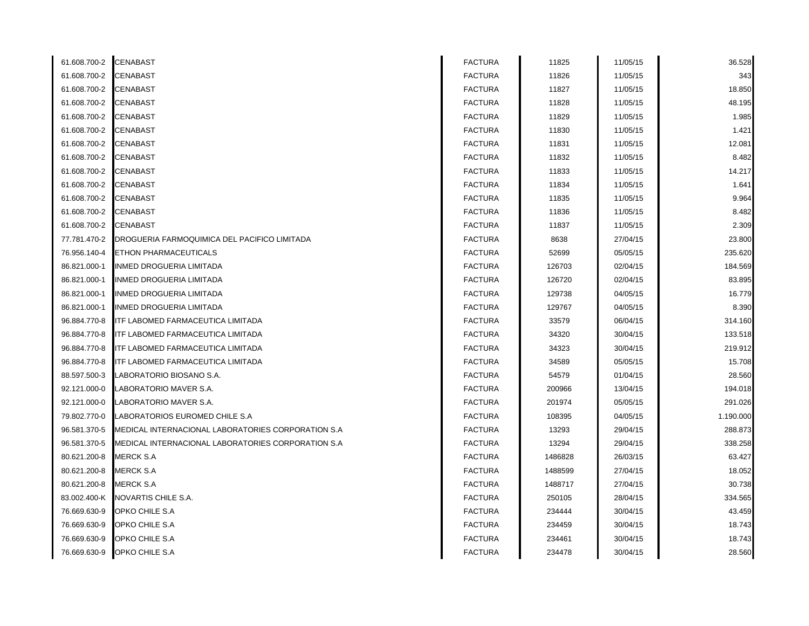| 61.608.700-2 CENABAST |                                                    | <b>FACTURA</b> | 11825   | 11/05/15 | 36.528    |
|-----------------------|----------------------------------------------------|----------------|---------|----------|-----------|
| 61.608.700-2          | CENABAST                                           | <b>FACTURA</b> | 11826   | 11/05/15 | 343       |
| 61.608.700-2          | CENABAST                                           | <b>FACTURA</b> | 11827   | 11/05/15 | 18.850    |
| 61.608.700-2          | CENABAST                                           | <b>FACTURA</b> | 11828   | 11/05/15 | 48.195    |
| 61.608.700-2          | CENABAST                                           | <b>FACTURA</b> | 11829   | 11/05/15 | 1.985     |
| 61.608.700-2          | CENABAST                                           | <b>FACTURA</b> | 11830   | 11/05/15 | 1.421     |
| 61.608.700-2          | CENABAST                                           | <b>FACTURA</b> | 11831   | 11/05/15 | 12.081    |
| 61.608.700-2          | CENABAST                                           | <b>FACTURA</b> | 11832   | 11/05/15 | 8.482     |
| 61.608.700-2          | CENABAST                                           | <b>FACTURA</b> | 11833   | 11/05/15 | 14.217    |
| 61.608.700-2          | CENABAST                                           | <b>FACTURA</b> | 11834   | 11/05/15 | 1.641     |
| 61.608.700-2          | CENABAST                                           | <b>FACTURA</b> | 11835   | 11/05/15 | 9.964     |
| 61.608.700-2          | CENABAST                                           | <b>FACTURA</b> | 11836   | 11/05/15 | 8.482     |
| 61.608.700-2          | CENABAST                                           | <b>FACTURA</b> | 11837   | 11/05/15 | 2.309     |
| 77.781.470-2          | DROGUERIA FARMOQUIMICA DEL PACIFICO LIMITADA       | <b>FACTURA</b> | 8638    | 27/04/15 | 23.800    |
| 76.956.140-4          | ETHON PHARMACEUTICALS                              | <b>FACTURA</b> | 52699   | 05/05/15 | 235.620   |
| 86.821.000-1          | INMED DROGUERIA LIMITADA                           | <b>FACTURA</b> | 126703  | 02/04/15 | 184.569   |
| 86.821.000-1          | INMED DROGUERIA LIMITADA                           | <b>FACTURA</b> | 126720  | 02/04/15 | 83.895    |
| 86.821.000-1          | INMED DROGUERIA LIMITADA                           | <b>FACTURA</b> | 129738  | 04/05/15 | 16.779    |
| 86.821.000-1          | INMED DROGUERIA LIMITADA                           | <b>FACTURA</b> | 129767  | 04/05/15 | 8.390     |
| 96.884.770-8          | ITF LABOMED FARMACEUTICA LIMITADA                  | <b>FACTURA</b> | 33579   | 06/04/15 | 314.160   |
| 96.884.770-8          | ITF LABOMED FARMACEUTICA LIMITADA                  | <b>FACTURA</b> | 34320   | 30/04/15 | 133.518   |
| 96.884.770-8          | ITF LABOMED FARMACEUTICA LIMITADA                  | <b>FACTURA</b> | 34323   | 30/04/15 | 219.912   |
| 96.884.770-8          | ITF LABOMED FARMACEUTICA LIMITADA                  | <b>FACTURA</b> | 34589   | 05/05/15 | 15.708    |
| 88.597.500-3          | LABORATORIO BIOSANO S.A.                           | <b>FACTURA</b> | 54579   | 01/04/15 | 28.560    |
| 92.121.000-0          | LABORATORIO MAVER S.A.                             | <b>FACTURA</b> | 200966  | 13/04/15 | 194.018   |
| 92.121.000-0          | LABORATORIO MAVER S.A.                             | <b>FACTURA</b> | 201974  | 05/05/15 | 291.026   |
| 79.802.770-0          | LABORATORIOS EUROMED CHILE S.A                     | <b>FACTURA</b> | 108395  | 04/05/15 | 1.190.000 |
| 96.581.370-5          | MEDICAL INTERNACIONAL LABORATORIES CORPORATION S.A | <b>FACTURA</b> | 13293   | 29/04/15 | 288.873   |
| 96.581.370-5          | MEDICAL INTERNACIONAL LABORATORIES CORPORATION S.A | <b>FACTURA</b> | 13294   | 29/04/15 | 338.258   |
| 80.621.200-8          | MERCK S.A                                          | <b>FACTURA</b> | 1486828 | 26/03/15 | 63.427    |
| 80.621.200-8          | MERCK S.A                                          | <b>FACTURA</b> | 1488599 | 27/04/15 | 18.052    |
| 80.621.200-8          | MERCK S.A                                          | <b>FACTURA</b> | 1488717 | 27/04/15 | 30.738    |
| 83.002.400-K          | NOVARTIS CHILE S.A.                                | <b>FACTURA</b> | 250105  | 28/04/15 | 334.565   |
| 76.669.630-9          | OPKO CHILE S.A                                     | <b>FACTURA</b> | 234444  | 30/04/15 | 43.459    |
| 76.669.630-9          | OPKO CHILE S.A                                     | <b>FACTURA</b> | 234459  | 30/04/15 | 18.743    |
| 76.669.630-9          | OPKO CHILE S.A                                     | <b>FACTURA</b> | 234461  | 30/04/15 | 18.743    |
| 76.669.630-9          | OPKO CHILE S.A                                     | <b>FACTURA</b> | 234478  | 30/04/15 | 28.560    |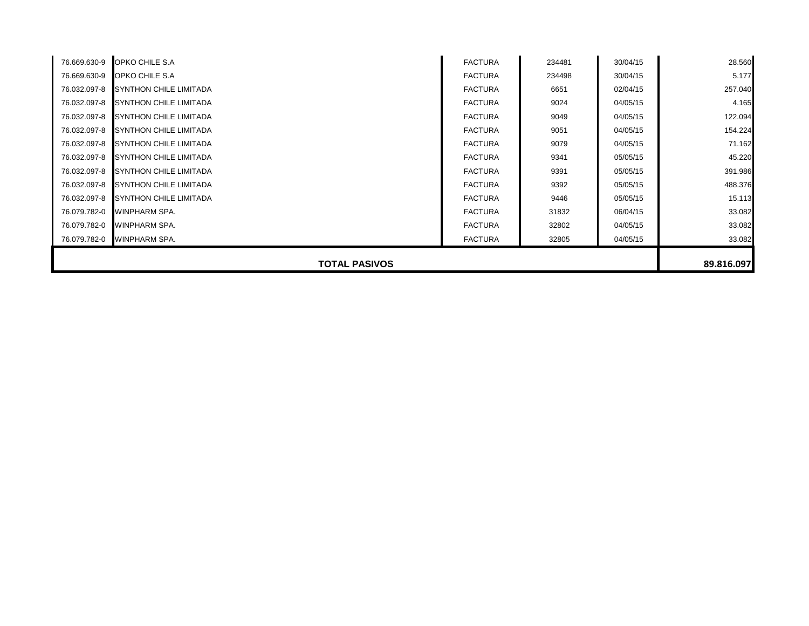| 76.669.630-9         | OPKO CHILE S.A                | <b>FACTURA</b> | 234481 | 30/04/15 | 28.560     |
|----------------------|-------------------------------|----------------|--------|----------|------------|
| 76.669.630-9         | OPKO CHILE S.A                | <b>FACTURA</b> | 234498 | 30/04/15 | 5.177      |
| 76.032.097-8         | <b>SYNTHON CHILE LIMITADA</b> | <b>FACTURA</b> | 6651   | 02/04/15 | 257.040    |
| 76.032.097-8         | SYNTHON CHILE LIMITADA        | <b>FACTURA</b> | 9024   | 04/05/15 | 4.165      |
| 76.032.097-8         | SYNTHON CHILE LIMITADA        | <b>FACTURA</b> | 9049   | 04/05/15 | 122.094    |
| 76.032.097-8         | <b>SYNTHON CHILE LIMITADA</b> | <b>FACTURA</b> | 9051   | 04/05/15 | 154.224    |
| 76.032.097-8         | SYNTHON CHILE LIMITADA        | <b>FACTURA</b> | 9079   | 04/05/15 | 71.162     |
| 76.032.097-8         | SYNTHON CHILE LIMITADA        | <b>FACTURA</b> | 9341   | 05/05/15 | 45.220     |
| 76.032.097-8         | SYNTHON CHILE LIMITADA        | <b>FACTURA</b> | 9391   | 05/05/15 | 391.986    |
| 76.032.097-8         | SYNTHON CHILE LIMITADA        | <b>FACTURA</b> | 9392   | 05/05/15 | 488.376    |
| 76.032.097-8         | SYNTHON CHILE LIMITADA        | <b>FACTURA</b> | 9446   | 05/05/15 | 15.113     |
| 76.079.782-0         | <b>WINPHARM SPA.</b>          | <b>FACTURA</b> | 31832  | 06/04/15 | 33.082     |
| 76.079.782-0         | WINPHARM SPA.                 | <b>FACTURA</b> | 32802  | 04/05/15 | 33.082     |
| 76.079.782-0         | WINPHARM SPA.                 | <b>FACTURA</b> | 32805  | 04/05/15 | 33.082     |
|                      |                               |                |        |          |            |
| <b>TOTAL PASIVOS</b> |                               |                |        |          | 89.816.097 |